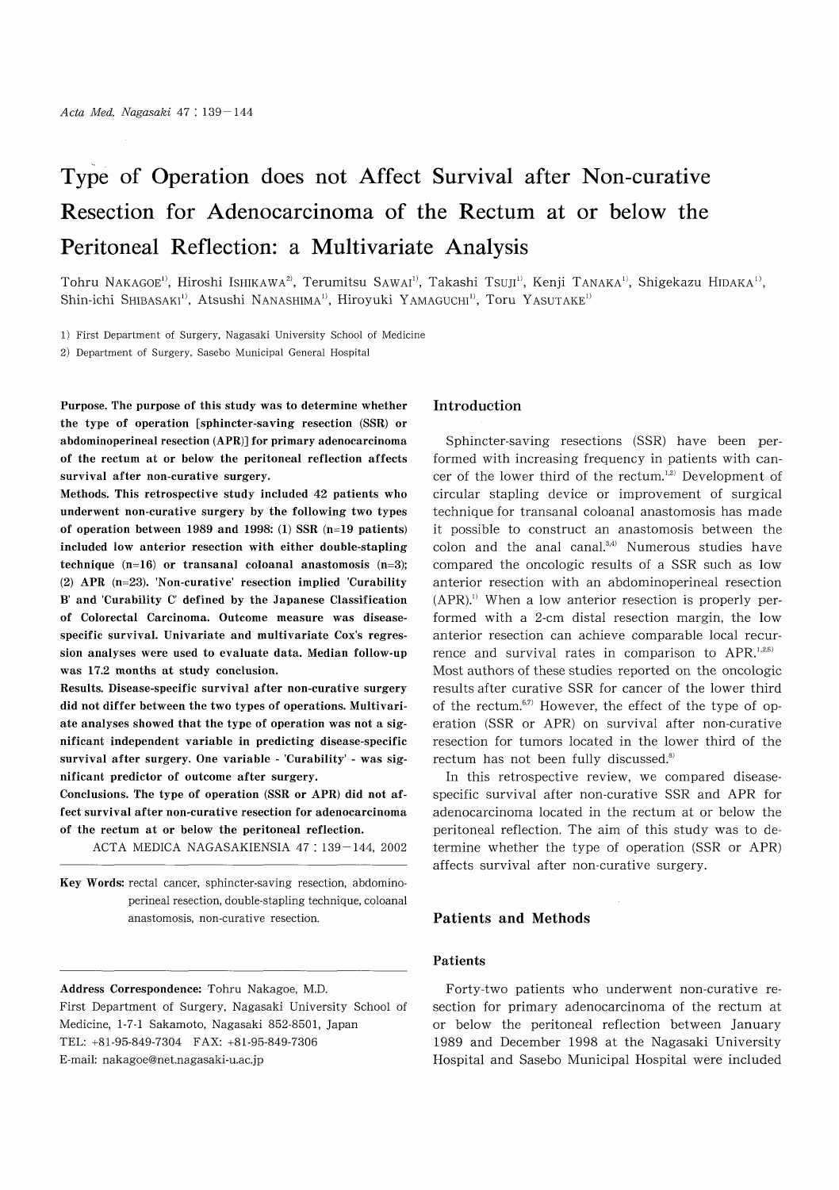# Type of Operation does not Affect Survival after Non-curative Resection for Adenocarcinoma of the Rectum at or below the Peritoneal Reflection: a Multivariate Analysis

Tohru NAKAGOE<sup>1)</sup>, Hiroshi ISHIKAWA<sup>2)</sup>, Terumitsu SAWAI<sup>1)</sup>, Takashi TSUJI<sup>11</sup>, Kenji TANAKA<sup>11</sup>, Shigekazu HIDAKA<sup>13</sup>, Shin-ichi Shibasaki<sup>1)</sup>, Atsushi Nanashima<sup>1)</sup>, Hiroyuki Yamaguchi<sup>1)</sup>, Toru Yasutake<sup>1)</sup>

1) First Department of Surgery, Nagasaki University School of Medicine

2) Department of Surgery, Sasebo Municipal General Hospital

Purpose. The purpose of this study was to determine whether the type of operation [sphincter-saving resection (SSR) or abdominoperineal resection (APR)] for primary adenocarcinoma of the rectum at or below the peritoneal reflection affects survival after non-curative surgery.

Methods. This retrospective study included 42 patients who underwent non-curative surgery by the following two types of operation between 1989 and 1998: (1) SSR (n=19 patients) included low anterior resection with either double-stapling technique  $(n=16)$  or transanal coloanal anastomosis  $(n=3)$ ; (2) APR (n=23). 'Non-curative' resection implied 'Curability B' and 'Curability C' defined by the Japanese Classification of Colorectal Carcinoma. Outcome measure was diseasespecific survival. Univariate and multivariate Cox's regression analyses were used to evaluate data. Median follow-up was 17.2 months at study conclusion.

Results. Disease-specific survival after non-curative surgery did not differ between the two types of operations. Multivariate analyses showed that the type of operation was not a significant independent variable in predicting disease-specific survival after surgery. One variable - 'Curability' - was significant predictor of outcome after surgery.

Conclusions. The type of operation (SSR or APR) did not affect survival after non-curative resection for adenocarcinoma of the rectum at or below the peritoneal reflection.

ACTA MEDICA NAGASAKIENSIA 47: 139-144, 2002

Key Words: rectal cancer, sphincter-saving resection, abdominoperineal resection, double-stapling technique, coloanal anastomosis, non-curative resection.

Address Correspondence: Tohru Nakagoe, M.D. First Department of Surgery, Nagasaki University School of Medicine, 1-7-1 Sakamoto, Nagasaki 852-8501, Japan TEL: +81-95-849-7304 FAX: +81-95-849-7306 E-mail: nakagoe@net.nagasaki-u.ac.jp

## Introduction

Sphincter-saving resections (SSR) have been performed with increasing frequency in patients with cancer of the lower third of the rectum. $1,2)$  Development of circular stapling device or improvement of surgical technique for transanal coloanal anastomosis has made it possible to construct an anastomosis between the colon and the anal canal. $3,4$ ) Numerous studies have compared the oncologic results of a SSR such as low anterior resection with an abdominoperineal resection  $(APR)$ .<sup>1)</sup> When a low anterior resection is properly performed with a 2-cm distal resection margin, the low anterior resection can achieve comparable local recurrence and survival rates in comparison to  $APR$ .<sup>1,2,5)</sup> Most authors of these studies reported on the oncologic results after curative SSR for cancer of the lower third of the rectum. $67$  However, the effect of the type of operation (SSR or APR) on survival after non-curative resection for tumors located in the lower third of the rectum has not been fully discussed.<sup>8)</sup>

In this retrospective review, we compared diseasespecific survival after non-curative SSR and APR for adenocarcinoma located in the rectum at or below the peritoneal reflection. The aim of this study was to determine whether the type of operation (SSR or APR) affects survival after non-curative surgery.

### Patients and Methods

### Patients

Forty-two patients who underwent non-curative resection for primary adenocarcinoma of the rectum at or below the peritoneal reflection between January 1989 and December 1998 at the Nagasaki University Hospital and Sasebo Municipal Hospital were included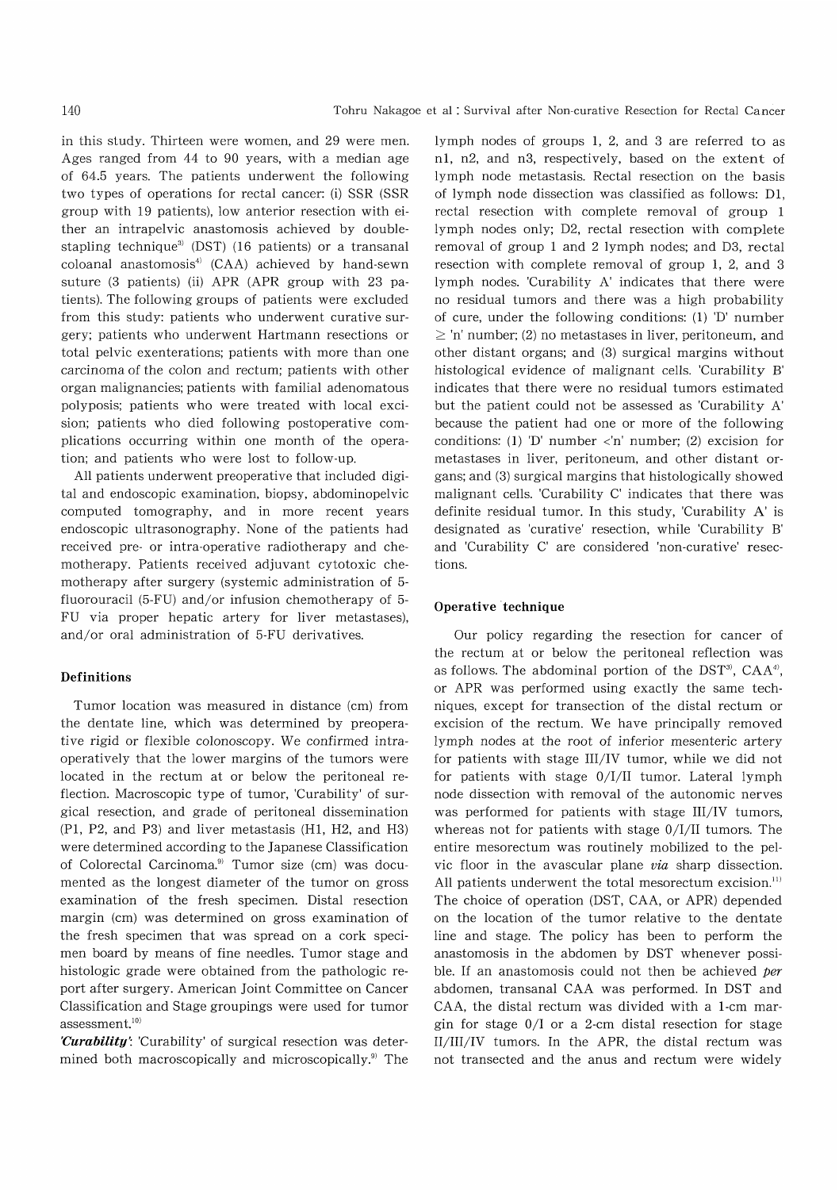in this study. Thirteen were women, and 29 were men. Ages ranged from 44 to 90 years, with a median age of 64.5 years. The patients underwent the following two types of operations for rectal cancer: (i) SSR (SSR group with 19 patients), low anterior resection with either an intrapelvic anastomosis achieved by doublestapling technique<sup>3)</sup> (DST) (16 patients) or a transanal coloanal anastomosis<sup>4)</sup> (CAA) achieved by hand-sewn suture (3 patients) (ii) APR (APR group with 23 patients). The following groups of patients were excluded from this study: patients who underwent curative surgery; patients who underwent Hartmann resections or total pelvic exenterations; patients with more than one carcinoma of the colon and rectum; patients with other organ malignancies; patients with familial adenomatous polyposis; patients who were treated with local excision; patients who died following postoperative complications occurring within one month of the operation; and patients who were lost to follow-up.

All patients underwent preoperative that included digital and endoscopic examination, biopsy, abdominopelvic computed tomography, and in more recent years endoscopic ultrasonography. None of the patients had received pre- or intra-operative radiotherapy and chemotherapy. Patients received adjuvant cytotoxic chemotherapy after surgery (systemic administration of 5 fluorouracil (5-FU) and/or infusion chemotherapy of 5- FU via proper hepatic artery for liver metastases), and/or oral administration of 5-FU derivatives.

## Definitions

Tumor location was measured in distance (cm) from the dentate line, which was determined by preoperative rigid or flexible colonoscopy. We confirmed intraoperatively that the lower margins of the tumors were located in the rectum at or below the peritoneal reflection. Macroscopic type of tumor, 'Curability' of surgical resection, and grade of peritoneal dissemination (P1, P2, and P3) and liver metastasis (H1, H2, and H3) were determined according to the Japanese Classification of Colorectal Carcinoma.<sup>9)</sup> Tumor size (cm) was documented as the longest diameter of the tumor on gross examination of the fresh specimen. Distal resection margin (cm) was determined on gross examination of the fresh specimen that was spread on a cork specimen board by means of fine needles. Tumor stage and histologic grade were obtained from the pathologic report after surgery. American Joint Committee on Cancer Classification and Stage groupings were used for tumor assessment.<sup>10)</sup>

...<br>*Curability'*: 'Curability' of surgical resection was deter mined both macroscopically and microscopically?) The lymph nodes of groups 1, 2, and 3 are referred to as nl, n2, and n3, respectively, based on the extent of lymph node metastasis. Rectal resection on the basis of lymph node dissection was classified as follows: D1, rectal resection with complete removal of group 1 lymph nodes only; D2, rectal resection with complete removal of group 1 and 2 lymph nodes; and D3, rectal resection with complete removal of group 1, 2, and 3 lymph nodes. 'Curability A' indicates that there were no residual tumors and there was a high probability of cure, under the following conditions: (1) 'D' number  $\geq$  'n' number; (2) no metastases in liver, peritoneum, and other distant organs; and (3) surgical margins without histological evidence of malignant cells. 'Curability B' indicates that there were no residual tumors estimated but the patient could not be assessed as 'Curability A' because the patient had one or more of the following conditions: (1) 'D' number <'n' number; (2) excision for metastases in liver, peritoneum, and other distant organs; and (3) surgical margins that histologically showed malignant cells. 'Curability C' indicates that there was definite residual tumor. In this study, 'Curability A' is designated as 'curative' resection, while 'Curability B' and 'Curability C' are considered 'non-curative' resections.

#### Operative technique

 Our policy regarding the resection for cancer of the rectum at or below the peritoneal reflection was as follows. The abdominal portion of the  $DST^3$ ,  $CAA^4$ , or APR was performed using exactly the same techniques, except for transection of the distal rectum or excision of the rectum. We have principally removed lymph nodes at the root of inferior mesenteric artery for patients with stage III/IV tumor, while we did not for patients with stage 0/I/II tumor. Lateral lymph node dissection with removal of the autonomic nerves was performed for patients with stage III/IV tumors, whereas not for patients with stage 0/I/II tumors. The entire mesorectum was routinely mobilized to the pelvic floor in the avascular plane via sharp dissection. All patients underwent the total mesorectum excision.<sup>11)</sup> The choice of operation (DST, CAA, or APR) depended on the location of the tumor relative to the dentate line and stage. The policy has been to perform the anastomosis in the abdomen by DST whenever possible. If an anastomosis could not then be achieved per abdomen, transanal CAA was performed. In DST and CAA, the distal rectum was divided with a 1-cm margin for stage 0/I or a 2-cm distal resection for stage II/III/IV tumors. In the APR, the distal rectum was not transected and the anus and rectum were widely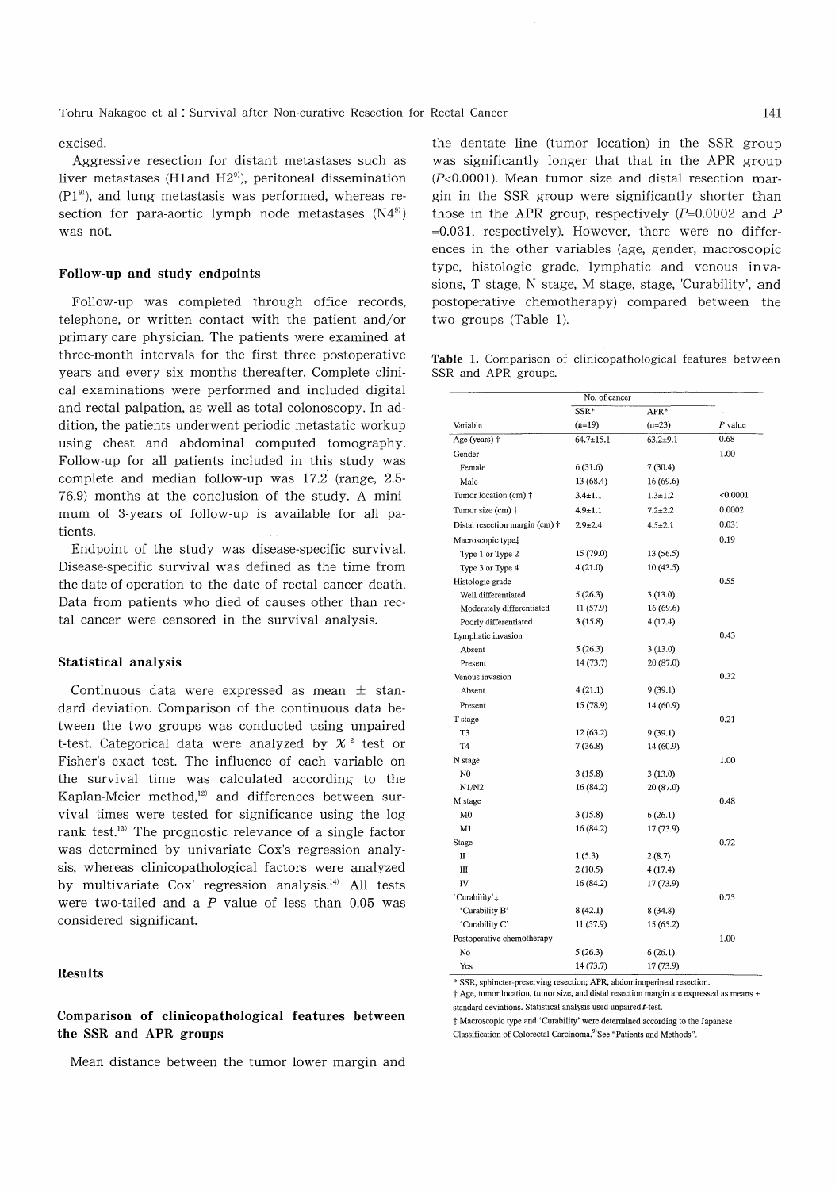#### excised.

Aggressive resection for distant metastases such as liver metastases (H1and  $H2<sup>9</sup>$ ), peritoneal dissemination  $(PI<sup>9</sup>)$ , and lung metastasis was performed, whereas resection for para-aortic lymph node metastases  $(N4<sup>9</sup>)$ was not.

#### Follow-up and study endpoints

Follow-up was completed through office records, telephone, or written contact with the patient and/or primary care physician. The patients were examined at three-month intervals for the first three postoperative years and every six months thereafter. Complete clinical examinations were performed and included digital and rectal palpation, as well as total colonoscopy. In addition, the patients underwent periodic metastatic workup using chest and abdominal computed tomography. Follow-up for all patients included in this study was complete and median follow-up was 17.2 (range, 2.5- 76.9) months at the conclusion of the study. A minimum of 3-years of follow-up is available for all patients.

Endpoint of the study was disease-specific survival. Disease-specific survival was defined as the time from the date of operation to the date of rectal cancer death. Data from patients who died of causes other than rectal cancer were censored in the survival analysis.

#### Statistical analysis

Continuous data were expressed as mean  $\pm$  standard deviation. Comparison of the continuous data between the two groups was conducted using unpaired t-test. Categorical data were analyzed by  $\chi^2$  test or Fisher's exact test. The influence of each variable on the survival time was calculated according to the Kaplan-Meier method,<sup>12)</sup> and differences between survival times were tested for significance using the log rank test.<sup>13)</sup> The prognostic relevance of a single factor was determined by univariate Cox's regression analysis, whereas clinicopathological factors were analyzed by multivariate Cox' regression analysis.<sup>14)</sup> All tests were two-tailed and a  $P$  value of less than 0.05 was considered significant.

## Results

# Comparison of clinicopathological features between the SSR and APR groups

Mean distance between the tumor lower margin and

the dentate line (tumor location) in the SSR group was significantly longer that that in the APR group  $(P<0.0001)$ . Mean tumor size and distal resection margin in the SSR group were significantly shorter than those in the APR group, respectively  $(P=0.0002$  and P =0.031, respectively). However, there were no differences in the other variables (age, gender, macroscopic type, histologic grade, lymphatic and venous invasions, T stage, N stage, M stage, stage, 'Curability', and postoperative chemotherapy) compared between the two groups (Table 1).

Table 1. Comparison of clinicopathological features between SSR and APR groups.

|                                        | No. of cancer   |               |           |  |
|----------------------------------------|-----------------|---------------|-----------|--|
|                                        | $SSR*$          | $APR*$        |           |  |
| Variable                               | $(n=19)$        | $(n=23)$      | $P$ value |  |
| Age (years) +                          | $64.7 \pm 15.1$ | $63.2 + 9.1$  | 0.68      |  |
| Gender                                 |                 |               | 1.00      |  |
| Female                                 | 6(31.6)         | 7(30.4)       |           |  |
| Male                                   | 13 (68.4)       | 16 (69.6)     |           |  |
| Tumor location (cm) $\dagger$          | $3.4 \pm 1.1$   | $1.3 + 1.2$   | < 0.0001  |  |
| Tumor size (cm) +                      | $4.9 \pm 1.1$   | $7.2 \pm 2.2$ | 0.0002    |  |
| Distal resection margin (cm) $\dagger$ | $2.9 \pm 2.4$   | $4.5 \pm 2.1$ | 0.031     |  |
| Macroscopic type‡                      |                 |               | 0.19      |  |
| Type 1 or Type 2                       | 15 (79.0)       | 13(56.5)      |           |  |
| Type 3 or Type 4                       | 4(21.0)         | 10(43.5)      |           |  |
| Histologic grade                       |                 |               | 0.55      |  |
| Well differentiated                    | 5(26.3)         | 3(13.0)       |           |  |
| Moderately differentiated              | 11 (57.9)       | 16 (69.6)     |           |  |
| Poorly differentiated                  | 3(15.8)         | 4(17.4)       |           |  |
| Lymphatic invasion                     |                 |               | 0.43      |  |
| Absent                                 | 5(26.3)         | 3(13.0)       |           |  |
| Present                                | 14(73.7)        | 20 (87.0)     |           |  |
| Venous invasion                        |                 |               | 0.32      |  |
| Absent                                 | 4(21.1)         | 9(39.1)       |           |  |
| Present                                | 15 (78.9)       | 14 (60.9)     |           |  |
| T stage                                |                 |               | 0.21      |  |
| T3                                     | 12 (63.2)       | 9(39.1)       |           |  |
| T <sub>4</sub>                         | 7(36.8)         | 14 (60.9)     |           |  |
| N stage                                |                 |               | 1.00      |  |
| N <sub>0</sub>                         | 3(15.8)         | 3(13.0)       |           |  |
| N1/N2                                  | 16 (84.2)       | 20 (87.0)     |           |  |
| M stage                                |                 |               | 0.48      |  |
| M <sub>0</sub>                         | 3(15.8)         | 6(26.1)       |           |  |
| M1                                     | 16 (84.2)       | 17 (73.9)     |           |  |
| <b>Stage</b>                           |                 |               | 0.72      |  |
| п                                      | 1(5.3)          | 2(8.7)        |           |  |
| $\mathbf{I}$                           | 2(10.5)         | 4(17.4)       |           |  |
| IV                                     | 16 (84.2)       | 17 (73.9)     |           |  |
| 'Curability'#                          |                 |               | 0.75      |  |
| 'Curability B'                         | 8(42.1)         | 8(34.8)       |           |  |
| 'Curability C'                         | 11 (57.9)       | 15 (65.2)     |           |  |
| Postoperative chemotherapy             |                 |               | 1.00      |  |
| No                                     | 5(26.3)         | 6(26.1)       |           |  |
| Yes                                    | 14 (73.7)       | 17 (73.9)     |           |  |

\* SSR, sphincter-preserving resection; APR, abdominoperineal resection.

 $\dagger$  Age, tumor location, tumor size, and distal resection margin are expressed as means  $\pm$ standard deviations. Statistical analysis used unpaired t-test.

( Macroscopic type and `Curability' were determined according to the Japanese

Classification of Colorectal Carcinoma.<sup>9)</sup>See "Patients and Methods".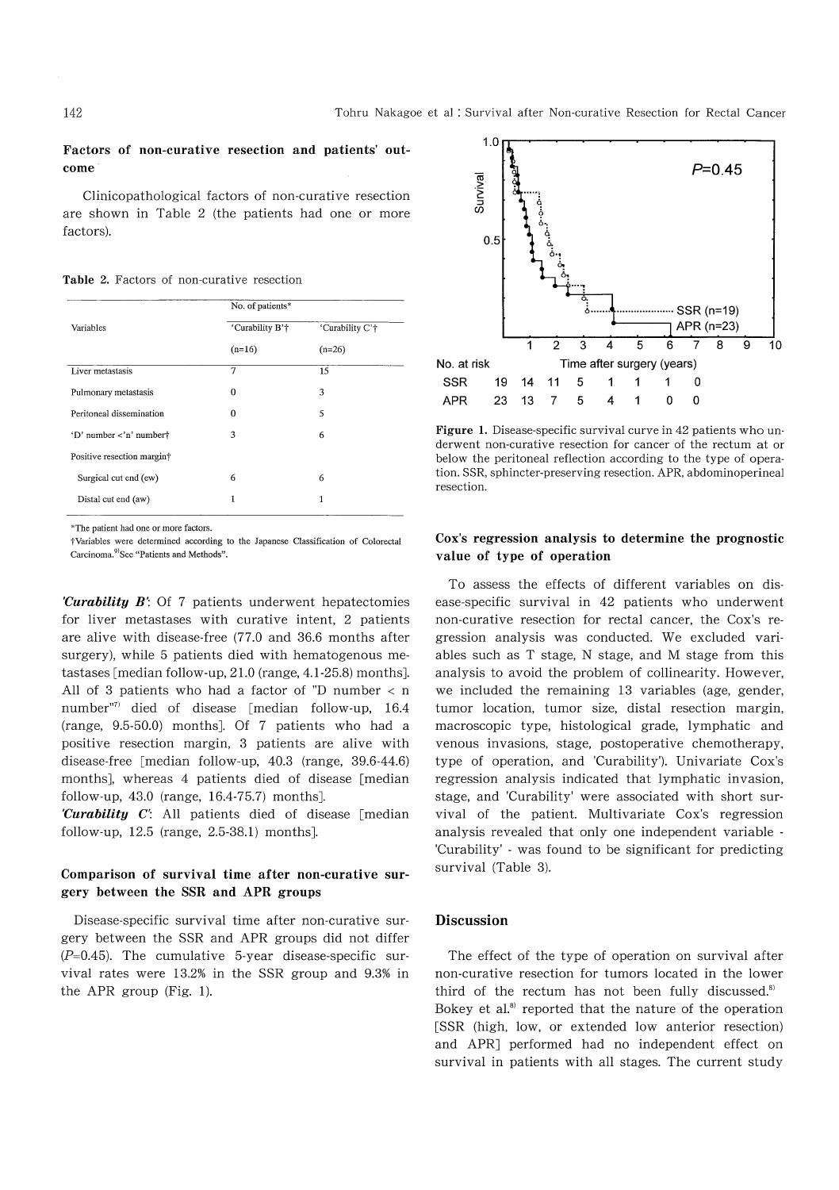### Factors of non-curative resection and patients' outcome

 Clinicopathological factors of non-curative resection are shown in Table 2 (the patients had one or more factors).

Table 2. Factors of non-curative resection

| 'Curability B'† |                 |  |
|-----------------|-----------------|--|
|                 | 'Curability C'† |  |
| $(n=16)$        | $(n=26)$        |  |
| 7               | 15              |  |
| 0               | 3               |  |
| $\mathbf{0}$    | 5               |  |
| 3               | 6               |  |
|                 |                 |  |
| 6               | 6               |  |
| 1               | 1               |  |
|                 |                 |  |

\*The patient had one or more factors .

tVariables were determined according to the Japanese Classification of Colorectal Carcinoma.<sup>9)</sup>See "Patients and Methods".

'Curability B': Of 7 patients underwent hepatectomies for liver metastases with curative intent, 2 patients are alive with disease-free (77.0 and 36.6 months after surgery), while 5 patients died with hematogenous metastases [median follow-up, 21.0 (range, 4.1-25.8) months]. All of 3 patients who had a factor of "D number  $\langle$  n number"" died of disease [median follow-up, 16.4 (range, 9.5-50.0) months]. Of 7 patients who had a positive resection margin, 3 patients are alive with disease-free [median follow-up, 40.3 (range, 39.6-44.6) months], whereas 4 patients died of disease [median follow-up, 43.0 (range, 16.4-75.7) months].

Curability  $C'$ : All patients died of disease [median] follow-up, 12.5 (range, 2.5-38.1) months].

# Comparison of survival time after non-curative surgery between the SSR and APR groups

Disease-specific survival time after non-curative surgery between the SSR and APR groups did not differ  $(P=0.45)$ . The cumulative 5-year disease-specific survival rates were 13.2% in the SSR group and 9.3% in the APR group (Fig. 1).



Figure 1. Disease-specific survival curve in 42 patients who underwent non-curative resection for cancer of the rectum at or below the peritoneal reflection according to the type of operation. SSR, sphincter-preserving resection. APR, abdominoperineal resection.

## Cox's regression analysis to determine the prognostic value of type of operation

To assess the effects of different variables on disease-specific survival in 42 patients who underwent non-curative resection for rectal cancer, the Cox's regression analysis was conducted. We excluded variables such as T stage, N stage, and M stage from this analysis to avoid the problem of collinearity. However, we included the remaining 13 variables (age, gender, tumor location, tumor size, distal resection margin, macroscopic type, histological grade, lymphatic and venous invasions, stage, postoperative chemotherapy, type of operation, and 'Curability'). Univariate Cox's regression analysis indicated that lymphatic invasion, stage, and 'Curability' were associated with short survival of the patient. Multivariate Cox's regression analysis revealed that only one independent variable - 'Curability' - was found to be significant for predicting survival (Table 3).

#### Discussion

The effect of the type of operation on survival after non-curative resection for tumors located in the lower third of the rectum has not been fully discussed.<sup>8)</sup> Bokey et al.<sup>8)</sup> reported that the nature of the operation [SSR (high, low, or extended low anterior resection) and APR] performed had no independent effect on survival in patients with all stages. The current study

#### 142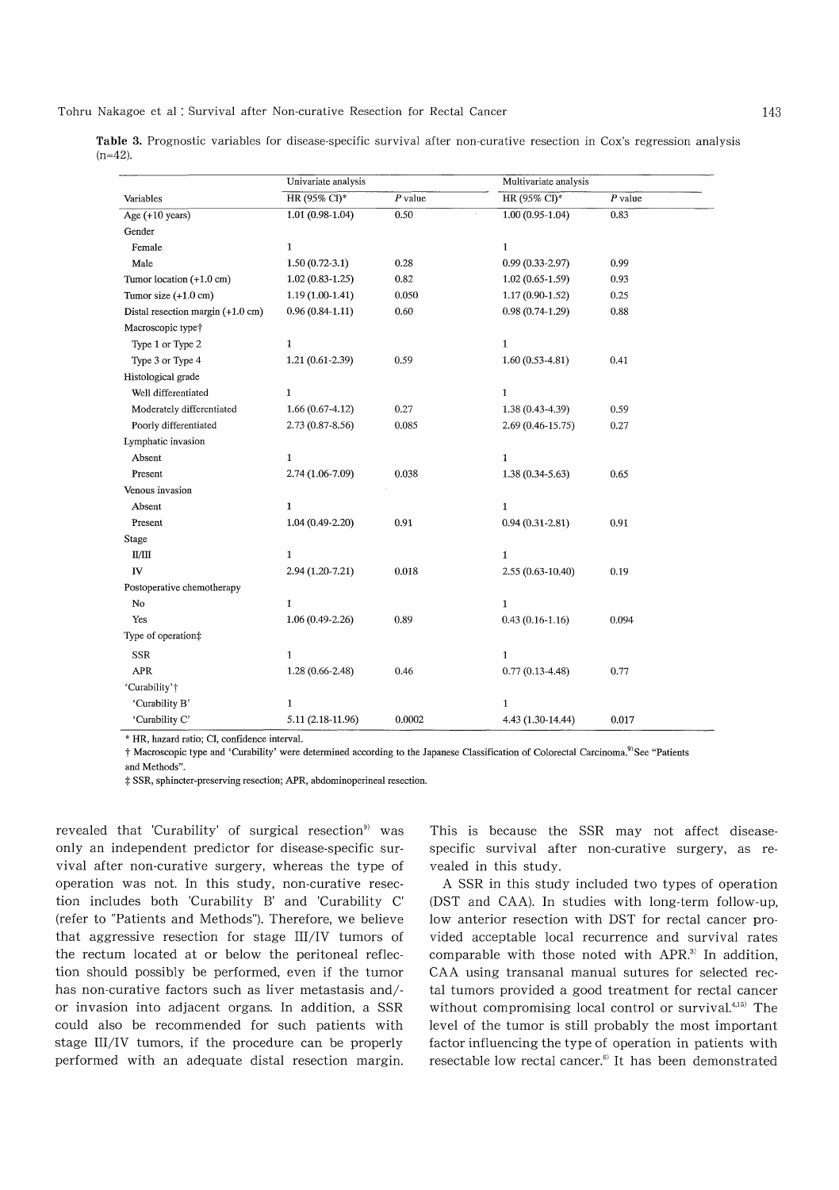Tohru Nakagoe et al : Survival after Non-curative Resection for Rectal Cancer

|            |  | <b>Table 3.</b> Prognostic variables for disease-specific survival after non-curative resection in Cox's regression analysi |  |  |  |  |
|------------|--|-----------------------------------------------------------------------------------------------------------------------------|--|--|--|--|
| $(n=42)$ . |  |                                                                                                                             |  |  |  |  |

|                                             | Univariate analysis |           | Multivariate analysis |           |  |  |
|---------------------------------------------|---------------------|-----------|-----------------------|-----------|--|--|
| Variables                                   | HR (95% CI)*        | $P$ value | HR (95% CI)*          | $P$ value |  |  |
| Age $(+10$ years)                           | $1.01(0.98-1.04)$   | 0.50      | $1.00(0.95 - 1.04)$   | 0.83      |  |  |
| Gender                                      |                     |           |                       |           |  |  |
| Female                                      | $\mathbf{1}$        |           | $\mathbf 1$           |           |  |  |
| Male                                        | $1.50(0.72-3.1)$    | 0.28      | $0.99(0.33 - 2.97)$   | 0.99      |  |  |
| Tumor location (+1.0 cm)                    | $1.02(0.83 - 1.25)$ | 0.82      | $1.02(0.65-1.59)$     | 0.93      |  |  |
| Tumor size $(+1.0 \text{ cm})$              | $1.19(1.00-1.41)$   | 0.050     | $1.17(0.90-1.52)$     | 0.25      |  |  |
| Distal resection margin $(+1.0 \text{ cm})$ | $0.96(0.84-1.11)$   | 0.60      | $0.98(0.74-1.29)$     | 0.88      |  |  |
| Macroscopic type <sup>+</sup>               |                     |           |                       |           |  |  |
| Type 1 or Type 2                            | $\mathbf{1}$        |           | $\mathbf 1$           |           |  |  |
| Type 3 or Type 4                            | $1.21(0.61-2.39)$   | 0.59      | $1.60(0.53-4.81)$     | 0.41      |  |  |
| Histological grade                          |                     |           |                       |           |  |  |
| Well differentiated                         | $\mathbf{1}$        |           | $\mathbf{1}$          |           |  |  |
| Moderately differentiated                   | $1.66(0.67-4.12)$   | 0.27      | $1.38(0.43 - 4.39)$   | 0.59      |  |  |
| Poorly differentiated                       | $2.73(0.87 - 8.56)$ | 0.085     | 2.69 (0.46-15.75)     | 0.27      |  |  |
| Lymphatic invasion                          |                     |           |                       |           |  |  |
| Absent                                      | $\mathbf{1}$        |           | $\mathbf{1}$          |           |  |  |
| Present                                     | 2.74 (1.06-7.09)    | 0.038     | $1.38(0.34 - 5.63)$   | 0.65      |  |  |
| Venous invasion                             |                     |           |                       |           |  |  |
| Absent                                      | $\mathbf{1}$        |           | $\mathbf 1$           |           |  |  |
| Present                                     | $1.04(0.49-2.20)$   | 0.91      | $0.94(0.31 - 2.81)$   | 0.91      |  |  |
| Stage                                       |                     |           |                       |           |  |  |
| II/III                                      | $\mathbf{1}$        |           | $\mathbf{1}$          |           |  |  |
| IV                                          | $2.94(1.20-7.21)$   | 0.018     | $2.55(0.63 - 10.40)$  | 0.19      |  |  |
| Postoperative chemotherapy                  |                     |           |                       |           |  |  |
| ${\bf No}$                                  | $\mathbf{1}$        |           | $\mathbf{1}$          |           |  |  |
| Yes                                         | $1.06(0.49-2.26)$   | 0.89      | $0.43(0.16 - 1.16)$   | 0.094     |  |  |
| Type of operation‡                          |                     |           |                       |           |  |  |
| <b>SSR</b>                                  | $\mathbf{1}$        |           | $\mathbf{1}$          |           |  |  |
| $\mbox{APR}$                                | $1.28(0.66 - 2.48)$ | 0.46      | $0.77(0.13-4.48)$     | 0.77      |  |  |
| 'Curability'†                               |                     |           |                       |           |  |  |
| 'Curability B'                              | $\mathbf{1}$        |           | $\mathbf{1}$          |           |  |  |
| 'Curability C'                              | 5.11 (2.18-11.96)   | 0.0002    | 4.43 (1.30-14.44)     | 0.017     |  |  |

\* HR , hazard ratio; CI, confidence interval.

t Macroscopic type and 'Curability' were determined according to the Japanese Classification of Colorectal Carcinoma.<sup>9)</sup>See "Patients and Methods".

t SSR, sphincter-preserving resection; APR, abdominoperineal resection.

revealed that 'Curability' of surgical resection<sup>9)</sup> was only an independent predictor for disease-specific survival after non-curative surgery, whereas the type of operation was not. In this study, non-curative resection includes both 'Curability B' and 'Curability C' (refer to "Patients and Methods"). Therefore, we believe that aggressive resection for stage III/IV tumors of the rectum located at or below the peritoneal reflection should possibly be performed, even if the tumor has non-curative factors such as liver metastasis and/ or invasion into adjacent organs. In addition, a SSR could also be recommended for such patients with stage III/IV tumors, if the procedure can be properly performed with an adequate distal resection margin. This is because the SSR may not affect diseasespecific survival after non-curative surgery, as revealed in this study.

A SSR in this study included two types of operation (DST and CAA). In studies with long-term follow-up, low anterior resection with DST for rectal cancer provided acceptable local recurrence and survival rates comparable with those noted with APR.<sup>3)</sup> In addition, CAA using transanal manual sutures for selected rectal tumors provided a good treatment for rectal cancer without compromising local control or survival. $4,15$ <sup>0</sup> The level of the tumor is still probably the most important factor influencing the type of operation in patients with resectable low rectal cancer.') It has been demonstrated